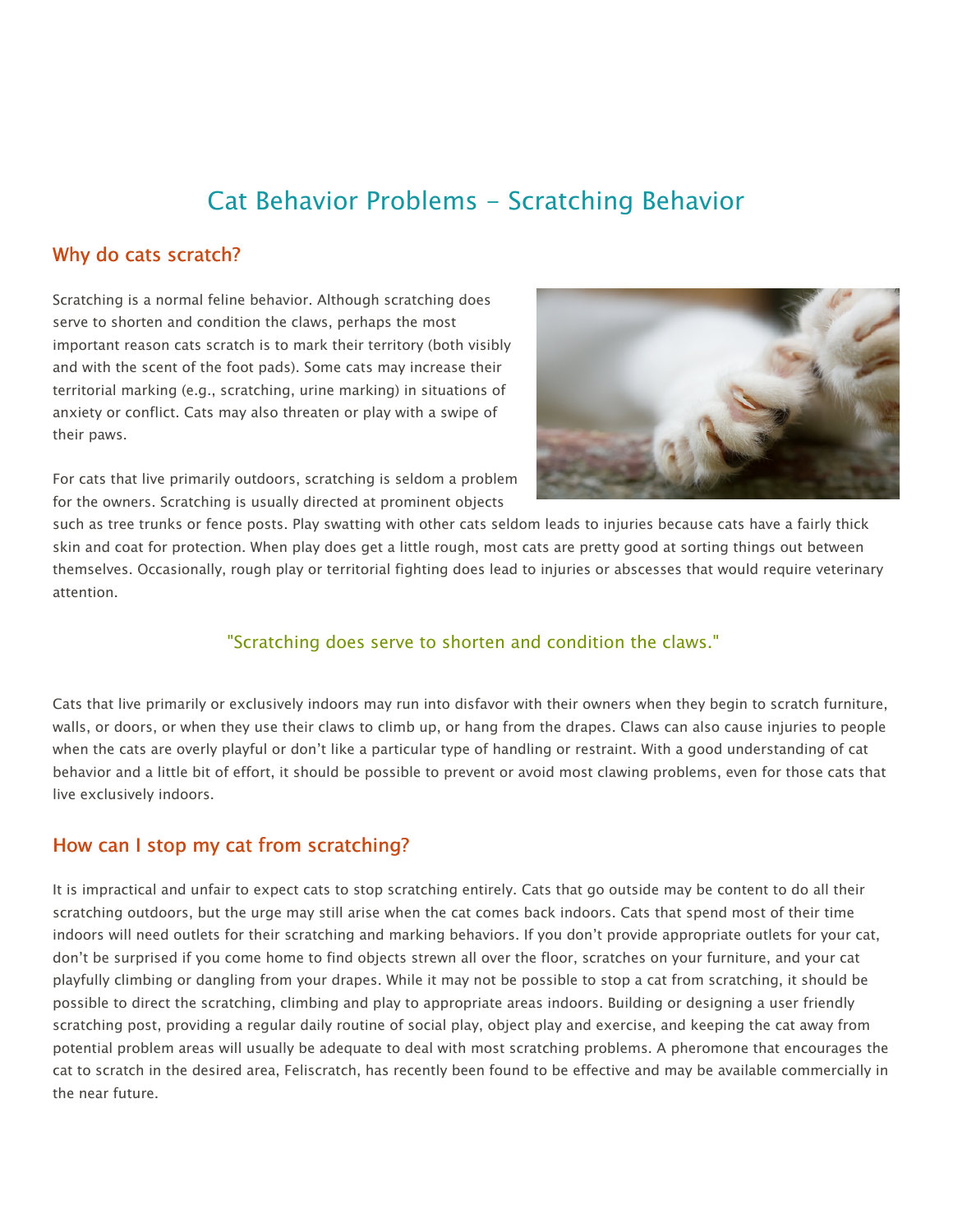# Cat Behavior Problems - Scratching Behavior

## Why do cats scratch?

Scratching is a normal feline behavior. Although scratching does serve to shorten and condition the claws, perhaps the most important reason cats scratch is to mark their territory (both visibly and with the scent of the foot pads). Some cats may increase their territorial marking (e.g., scratching, urine marking) in situations of anxiety or conflict. Cats may also threaten or play with a swipe of their paws.



For cats that live primarily outdoors, scratching is seldom a problem for the owners. Scratching is usually directed at prominent objects

such as tree trunks or fence posts. Play swatting with other cats seldom leads to injuries because cats have a fairly thick skin and coat for protection. When play does get a little rough, most cats are pretty good at sorting things out between themselves. Occasionally, rough play or territorial fighting does lead to injuries or abscesses that would require veterinary attention.

#### "Scratching does serve to shorten and condition the claws."

Cats that live primarily or exclusively indoors may run into disfavor with their owners when they begin to scratch furniture, walls, or doors, or when they use their claws to climb up, or hang from the drapes. Claws can also cause injuries to people when the cats are overly playful or don't like a particular type of handling or restraint. With a good understanding of cat behavior and a little bit of effort, it should be possible to prevent or avoid most clawing problems, even for those cats that live exclusively indoors.

## How can I stop my cat from scratching?

It is impractical and unfair to expect cats to stop scratching entirely. Cats that go outside may be content to do all their scratching outdoors, but the urge may still arise when the cat comes back indoors. Cats that spend most of their time indoors will need outlets for their scratching and marking behaviors. If you don't provide appropriate outlets for your cat, don't be surprised if you come home to find objects strewn all over the floor, scratches on your furniture, and your cat playfully climbing or dangling from your drapes. While it may not be possible to stop a cat from scratching, it should be possible to direct the scratching, climbing and play to appropriate areas indoors. Building or designing a user friendly scratching post, providing a regular daily routine of social play, object play and exercise, and keeping the cat away from potential problem areas will usually be adequate to deal with most scratching problems. A pheromone that encourages the cat to scratch in the desired area, Feliscratch, has recently been found to be effective and may be available commercially in the near future.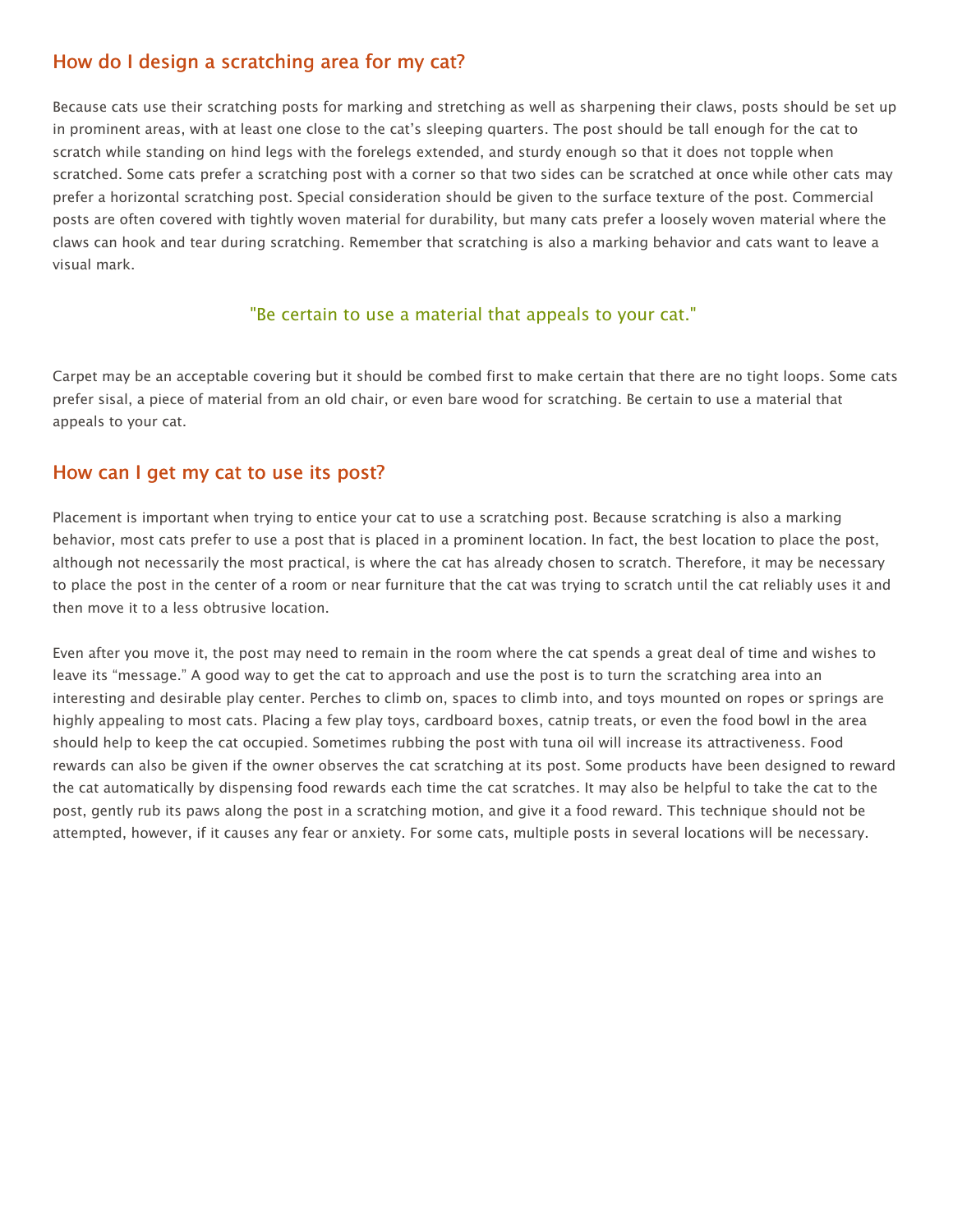## How do I design a scratching area for my cat?

Because cats use their scratching posts for marking and stretching as well as sharpening their claws, posts should be set up in prominent areas, with at least one close to the cat's sleeping quarters. The post should be tall enough for the cat to scratch while standing on hind legs with the forelegs extended, and sturdy enough so that it does not topple when scratched. Some cats prefer a scratching post with a corner so that two sides can be scratched at once while other cats may prefer a horizontal scratching post. Special consideration should be given to the surface texture of the post. Commercial posts are often covered with tightly woven material for durability, but many cats prefer a loosely woven material where the claws can hook and tear during scratching. Remember that scratching is also a marking behavior and cats want to leave a visual mark.

#### "Be certain to use a material that appeals to your cat."

Carpet may be an acceptable covering but it should be combed first to make certain that there are no tight loops. Some cats prefer sisal, a piece of material from an old chair, or even bare wood for scratching. Be certain to use a material that appeals to your cat.

## How can I get my cat to use its post?

Placement is important when trying to entice your cat to use a scratching post. Because scratching is also a marking behavior, most cats prefer to use a post that is placed in a prominent location. In fact, the best location to place the post, although not necessarily the most practical, is where the cat has already chosen to scratch. Therefore, it may be necessary to place the post in the center of a room or near furniture that the cat was trying to scratch until the cat reliably uses it and then move it to a less obtrusive location.

Even after you move it, the post may need to remain in the room where the cat spends a great deal of time and wishes to leave its "message." A good way to get the cat to approach and use the post is to turn the scratching area into an interesting and desirable play center. Perches to climb on, spaces to climb into, and toys mounted on ropes or springs are highly appealing to most cats. Placing a few play toys, cardboard boxes, catnip treats, or even the food bowl in the area should help to keep the cat occupied. Sometimes rubbing the post with tuna oil will increase its attractiveness. Food rewards can also be given if the owner observes the cat scratching at its post. Some products have been designed to reward the cat automatically by dispensing food rewards each time the cat scratches. It may also be helpful to take the cat to the post, gently rub its paws along the post in a scratching motion, and give it a food reward. This technique should not be attempted, however, if it causes any fear or anxiety. For some cats, multiple posts in several locations will be necessary.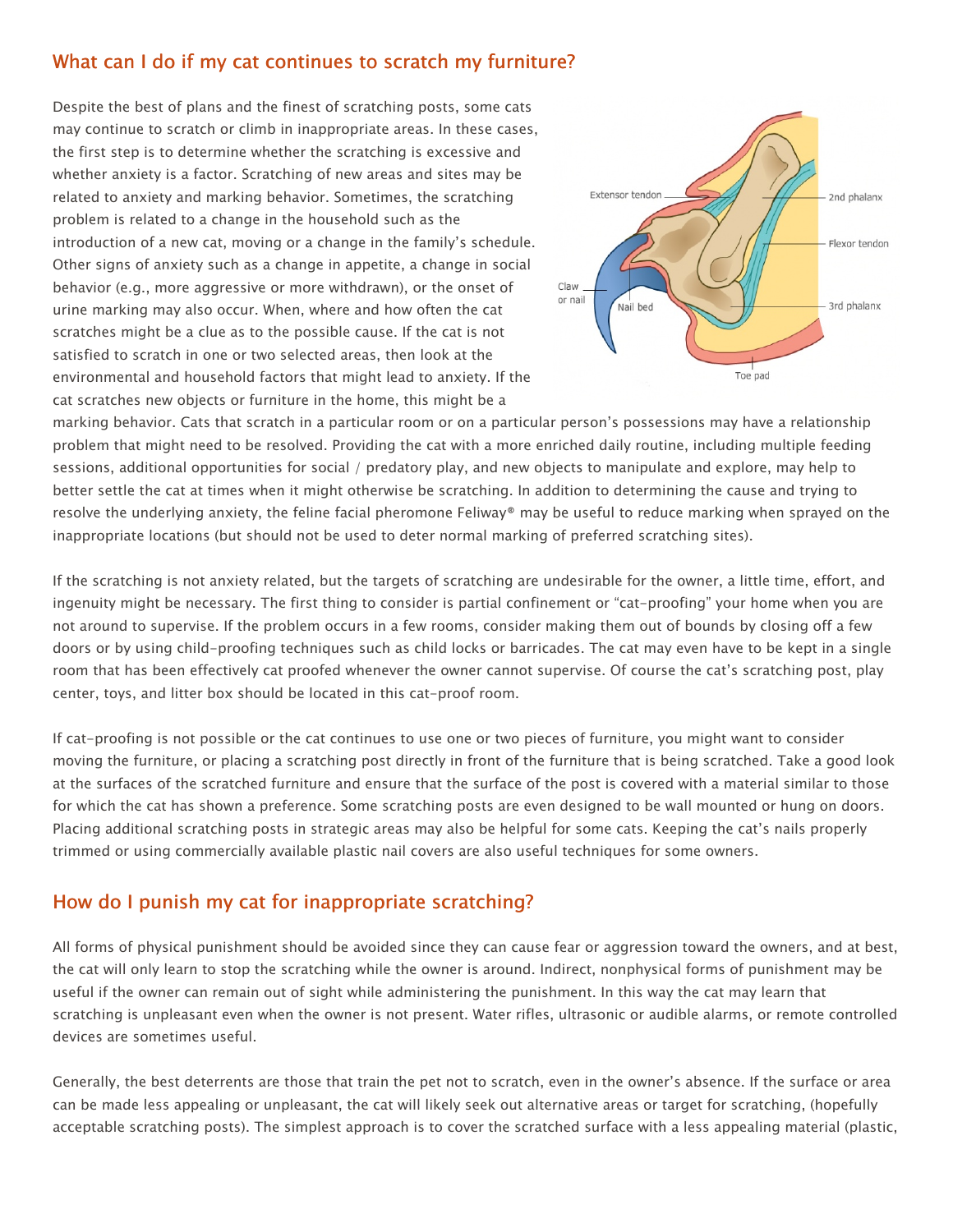## What can I do if my cat continues to scratch my furniture?

Despite the best of plans and the finest of scratching posts, some cats may continue to scratch or climb in inappropriate areas. In these cases, the first step is to determine whether the scratching is excessive and whether anxiety is a factor. Scratching of new areas and sites may be related to anxiety and marking behavior. Sometimes, the scratching problem is related to a change in the household such as the introduction of a new cat, moving or a change in the family's schedule. Other signs of anxiety such as a change in appetite, a change in social behavior (e.g., more aggressive or more withdrawn), or the onset of urine marking may also occur. When, where and how often the cat scratches might be a clue as to the possible cause. If the cat is not satisfied to scratch in one or two selected areas, then look at the environmental and household factors that might lead to anxiety. If the cat scratches new objects or furniture in the home, this might be a



marking behavior. Cats that scratch in a particular room or on a particular person's possessions may have a relationship problem that might need to be resolved. Providing the cat with a more enriched daily routine, including multiple feeding sessions, additional opportunities for social / predatory play, and new objects to manipulate and explore, may help to better settle the cat at times when it might otherwise be scratching. In addition to determining the cause and trying to resolve the underlying anxiety, the feline facial pheromone Feliway® may be useful to reduce marking when sprayed on the inappropriate locations (but should not be used to deter normal marking of preferred scratching sites).

If the scratching is not anxiety related, but the targets of scratching are undesirable for the owner, a little time, effort, and ingenuity might be necessary. The first thing to consider is partial confinement or "cat-proofing" your home when you are not around to supervise. If the problem occurs in a few rooms, consider making them out of bounds by closing off a few doors or by using child-proofing techniques such as child locks or barricades. The cat may even have to be kept in a single room that has been effectively cat proofed whenever the owner cannot supervise. Of course the cat's scratching post, play center, toys, and litter box should be located in this cat-proof room.

If cat-proofing is not possible or the cat continues to use one or two pieces of furniture, you might want to consider moving the furniture, or placing a scratching post directly in front of the furniture that is being scratched. Take a good look at the surfaces of the scratched furniture and ensure that the surface of the post is covered with a material similar to those for which the cat has shown a preference. Some scratching posts are even designed to be wall mounted or hung on doors. Placing additional scratching posts in strategic areas may also be helpful for some cats. Keeping the cat's nails properly trimmed or using commercially available plastic nail covers are also useful techniques for some owners.

## How do I punish my cat for inappropriate scratching?

All forms of physical punishment should be avoided since they can cause fear or aggression toward the owners, and at best, the cat will only learn to stop the scratching while the owner is around. Indirect, nonphysical forms of punishment may be useful if the owner can remain out of sight while administering the punishment. In this way the cat may learn that scratching is unpleasant even when the owner is not present. Water rifles, ultrasonic or audible alarms, or remote controlled devices are sometimes useful.

Generally, the best deterrents are those that train the pet not to scratch, even in the owner's absence. If the surface or area can be made less appealing or unpleasant, the cat will likely seek out alternative areas or target for scratching, (hopefully acceptable scratching posts). The simplest approach is to cover the scratched surface with a less appealing material (plastic,